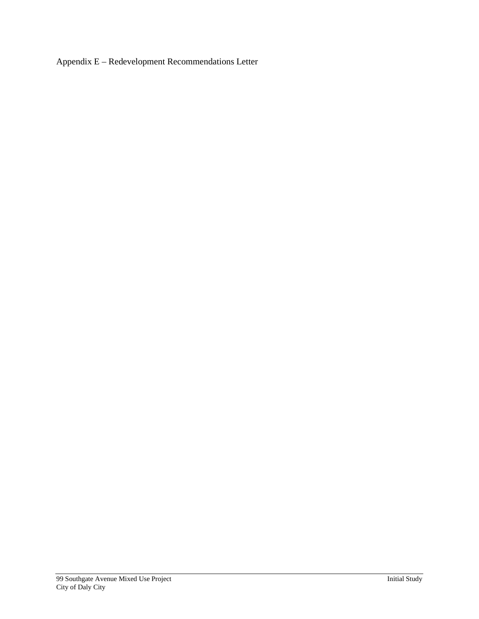Appendix E – Redevelopment Recommendations Letter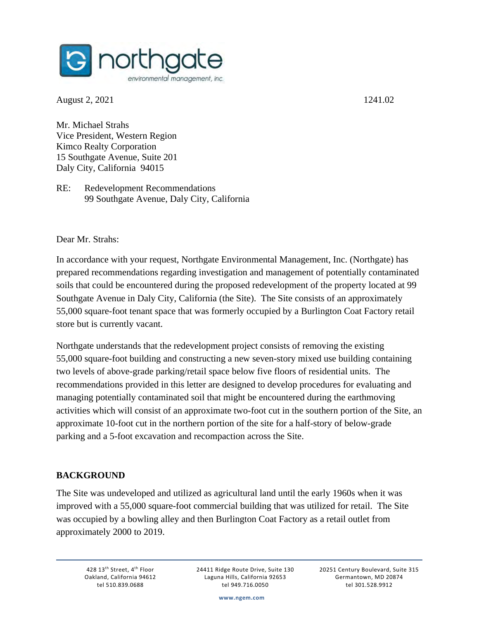

August 2, 2021 1241.02

Mr. Michael Strahs Vice President, Western Region Kimco Realty Corporation 15 Southgate Avenue, Suite 201 Daly City, California 94015

RE: Redevelopment Recommendations 99 Southgate Avenue, Daly City, California

Dear Mr. Strahs:

In accordance with your request, Northgate Environmental Management, Inc. (Northgate) has prepared recommendations regarding investigation and management of potentially contaminated soils that could be encountered during the proposed redevelopment of the property located at 99 Southgate Avenue in Daly City, California (the Site). The Site consists of an approximately 55,000 square-foot tenant space that was formerly occupied by a Burlington Coat Factory retail store but is currently vacant.

Northgate understands that the redevelopment project consists of removing the existing 55,000 square-foot building and constructing a new seven-story mixed use building containing two levels of above-grade parking/retail space below five floors of residential units. The recommendations provided in this letter are designed to develop procedures for evaluating and managing potentially contaminated soil that might be encountered during the earthmoving activities which will consist of an approximate two-foot cut in the southern portion of the Site, an approximate 10-foot cut in the northern portion of the site for a half-story of below-grade parking and a 5-foot excavation and recompaction across the Site.

## **BACKGROUND**

The Site was undeveloped and utilized as agricultural land until the early 1960s when it was improved with a 55,000 square-foot commercial building that was utilized for retail. The Site was occupied by a bowling alley and then Burlington Coat Factory as a retail outlet from approximately 2000 to 2019.

428 13<sup>th</sup> Street, 4<sup>th</sup> Floor Oakland, California 94612 tel 510.839.0688

24411 Ridge Route Drive, Suite 130 Laguna Hills, California 92653 tel 949.716.0050

20251 Century Boulevard, Suite 315 Germantown, MD 20874 tel 301.528.9912

 **www.ngem.com**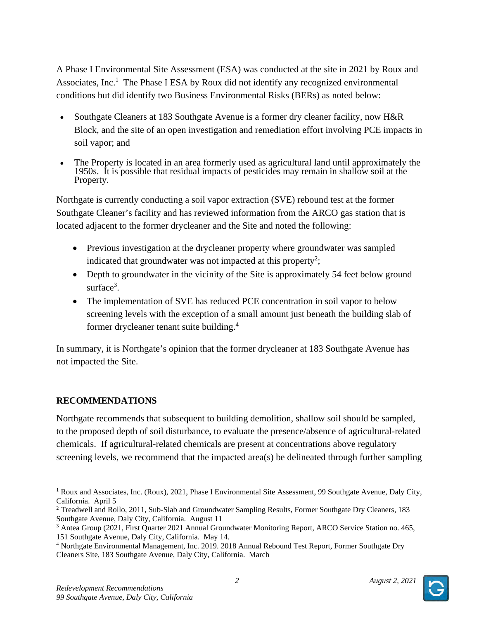A Phase I Environmental Site Assessment (ESA) was conducted at the site in 2021 by Roux and Associates,  $Inc$ <sup>1</sup> The Phase I ESA by Roux did not identify any recognized environmental conditions but did identify two Business Environmental Risks (BERs) as noted below:

- Southgate Cleaners at 183 Southgate Avenue is a former dry cleaner facility, now H&R Block, and the site of an open investigation and remediation effort involving PCE impacts in soil vapor; and
- The Property is located in an area formerly used as agricultural land until approximately the 1950s. It is possible that residual impacts of pesticides may remain in shallow soil at the Property.

Northgate is currently conducting a soil vapor extraction (SVE) rebound test at the former Southgate Cleaner's facility and has reviewed information from the ARCO gas station that is located adjacent to the former drycleaner and the Site and noted the following:

- Previous investigation at the drycleaner property where groundwater was sampled indicated that groundwater was not impacted at this property<sup>2</sup>;
- Depth to groundwater in the vicinity of the Site is approximately 54 feet below ground surface<sup>3</sup>.
- The implementation of SVE has reduced PCE concentration in soil vapor to below screening levels with the exception of a small amount just beneath the building slab of former drycleaner tenant suite building.<sup>4</sup>

In summary, it is Northgate's opinion that the former drycleaner at 183 Southgate Avenue has not impacted the Site.

## **RECOMMENDATIONS**

Northgate recommends that subsequent to building demolition, shallow soil should be sampled, to the proposed depth of soil disturbance, to evaluate the presence/absence of agricultural-related chemicals. If agricultural-related chemicals are present at concentrations above regulatory screening levels, we recommend that the impacted area(s) be delineated through further sampling



<sup>&</sup>lt;sup>1</sup> Roux and Associates, Inc. (Roux), 2021, Phase I Environmental Site Assessment, 99 Southgate Avenue, Daly City, California. April 5

<sup>&</sup>lt;sup>2</sup> Treadwell and Rollo, 2011, Sub-Slab and Groundwater Sampling Results, Former Southgate Dry Cleaners, 183 Southgate Avenue, Daly City, California. August 11

<sup>&</sup>lt;sup>3</sup> Antea Group (2021, First Quarter 2021 Annual Groundwater Monitoring Report, ARCO Service Station no. 465, 151 Southgate Avenue, Daly City, California. May 14.

<sup>&</sup>lt;sup>4</sup> Northgate Environmental Management, Inc. 2019. 2018 Annual Rebound Test Report, Former Southgate Dry Cleaners Site, 183 Southgate Avenue, Daly City, California. March